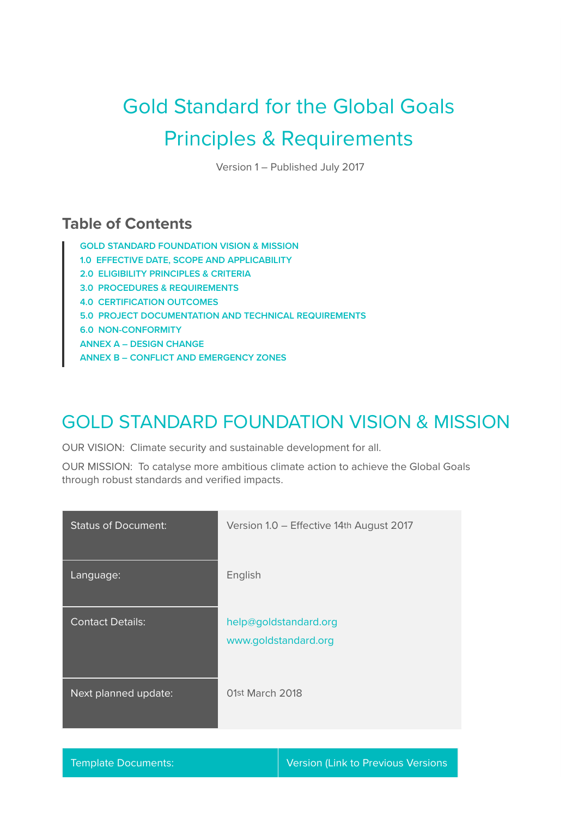# Gold Standard for the Global Goals Principles & Requirements

Version 1 – Published July 2017

### **Table of Contents**

**GOLD STANDARD FOUNDATION VISION & MISSION 1.0 EFFECTIVE DATE, SCOPE AND APPLICABILITY 2.0 ELIGIBILITY PRINCIPLES & CRITERIA 3.0 PROCEDURES & REQUIREMENTS 4.0 CERTIFICATION OUTCOMES 5.0 PROJECT DOCUMENTATION AND TECHNICAL REQUIREMENTS 6.0 NON-CONFORMITY ANNEX A – DESIGN CHANGE ANNEX B – CONFLICT AND EMERGENCY ZONES**

### GOLD STANDARD FOUNDATION VISION & MISSION

OUR VISION: Climate security and sustainable development for all.

OUR MISSION: To catalyse more ambitious climate action to achieve the Global Goals through robust standards and verified impacts.

| <b>Status of Document:</b> | Version 1.0 - Effective 14th August 2017      |
|----------------------------|-----------------------------------------------|
| Language:                  | English                                       |
| <b>Contact Details:</b>    | help@goldstandard.org<br>www.goldstandard.org |
| Next planned update:       | 01st March 2018                               |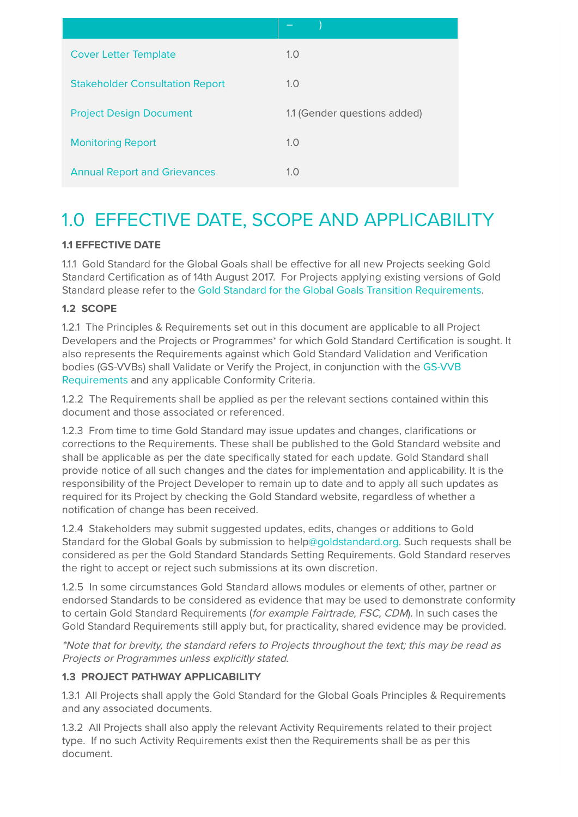| <b>Cover Letter Template</b>           | 1.0                          |
|----------------------------------------|------------------------------|
| <b>Stakeholder Consultation Report</b> | 1.0                          |
| <b>Project Design Document</b>         | 1.1 (Gender questions added) |
| <b>Monitoring Report</b>               | 1.0                          |
| <b>Annual Report and Grievances</b>    | 1.0                          |

### 1.0 EFFECTIVE DATE, SCOPE AND APPLICABILITY

#### **1.1 EFFECTIVE DATE**

1.1.1 Gold Standard for the Global Goals shall be effective for all new Projects seeking Gold Standard Certification as of 14th August 2017. For Projects applying existing versions of Gold Standard please refer to the Gold Standard for the Global Goals Transition Requirements.

#### **1.2 SCOPE**

1.2.1 The Principles & Requirements set out in this document are applicable to all Project Developers and the Projects or Programmes\* for which Gold Standard Certification is sought. It also represents the Requirements against which Gold Standard Validation and Verification bodies (GS-VVBs) shall Validate or Verify the Project, in conjunction with the GS-VVB Requirements and any applicable Conformity Criteria.

1.2.2 The Requirements shall be applied as per the relevant sections contained within this document and those associated or referenced.

1.2.3 From time to time Gold Standard may issue updates and changes, clarifications or corrections to the Requirements. These shall be published to the Gold Standard website and shall be applicable as per the date specifically stated for each update. Gold Standard shall provide notice of all such changes and the dates for implementation and applicability. It is the responsibility of the Project Developer to remain up to date and to apply all such updates as required for its Project by checking the Gold Standard website, regardless of whether a notification of change has been received.

1.2.4 Stakeholders may submit suggested updates, edits, changes or additions to Gold Standard for the Global Goals by submission to help@goldstandard.org. Such requests shall be considered as per the Gold Standard Standards Setting Requirements. Gold Standard reserves the right to accept or reject such submissions at its own discretion.

1.2.5 In some circumstances Gold Standard allows modules or elements of other, partner or endorsed Standards to be considered as evidence that may be used to demonstrate conformity to certain Gold Standard Requirements (for example Fairtrade, FSC, CDM). In such cases the Gold Standard Requirements still apply but, for practicality, shared evidence may be provided.

\*Note that for brevity, the standard refers to Projects throughout the text; this may be read as Projects or Programmes unless explicitly stated.

#### **1.3 PROJECT PATHWAY APPLICABILITY**

1.3.1 All Projects shall apply the Gold Standard for the Global Goals Principles & Requirements and any associated documents.

1.3.2 All Projects shall also apply the relevant Activity Requirements related to their project type. If no such Activity Requirements exist then the Requirements shall be as per this document.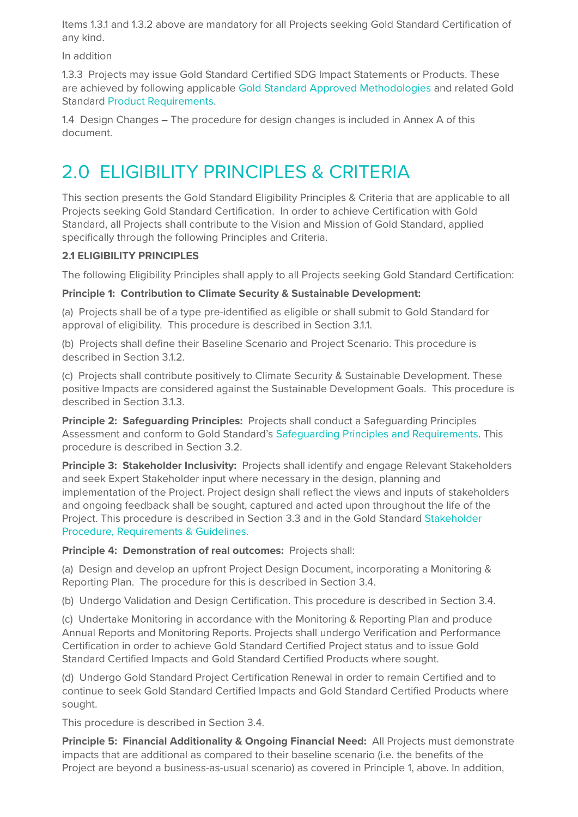Items 1.3.1 and 1.3.2 above are mandatory for all Projects seeking Gold Standard Certification of any kind.

In addition

1.3.3 Projects may issue Gold Standard Certified SDG Impact Statements or Products. These are achieved by following applicable Gold Standard Approved Methodologies and related Gold Standard Product Requirements.

1.4 Design Changes **–** The procedure for design changes is included in Annex A of this document.

## 2.0 ELIGIBILITY PRINCIPLES & CRITERIA

This section presents the Gold Standard Eligibility Principles & Criteria that are applicable to all Projects seeking Gold Standard Certification. In order to achieve Certification with Gold Standard, all Projects shall contribute to the Vision and Mission of Gold Standard, applied specifically through the following Principles and Criteria.

#### **2.1 ELIGIBILITY PRINCIPLES**

The following Eligibility Principles shall apply to all Projects seeking Gold Standard Certification:

#### **Principle 1: Contribution to Climate Security & Sustainable Development:**

(a) Projects shall be of a type pre-identified as eligible or shall submit to Gold Standard for approval of eligibility. This procedure is described in Section 3.1.1.

(b) Projects shall define their Baseline Scenario and Project Scenario. This procedure is described in Section 3.1.2.

(c) Projects shall contribute positively to Climate Security & Sustainable Development. These positive Impacts are considered against the Sustainable Development Goals. This procedure is described in Section 3.1.3.

**Principle 2: Safeguarding Principles:** Projects shall conduct a Safeguarding Principles Assessment and conform to Gold Standard's Safeguarding Principles and Requirements. This procedure is described in Section 3.2.

**Principle 3: Stakeholder Inclusivity:** Projects shall identify and engage Relevant Stakeholders and seek Expert Stakeholder input where necessary in the design, planning and implementation of the Project. Project design shall reflect the views and inputs of stakeholders and ongoing feedback shall be sought, captured and acted upon throughout the life of the Project. This procedure is described in Section 3.3 and in the Gold Standard Stakeholder Procedure, Requirements & Guidelines.

**Principle 4: Demonstration of real outcomes:** Projects shall:

(a) Design and develop an upfront Project Design Document, incorporating a Monitoring & Reporting Plan. The procedure for this is described in Section 3.4.

(b) Undergo Validation and Design Certification. This procedure is described in Section 3.4.

(c) Undertake Monitoring in accordance with the Monitoring & Reporting Plan and produce Annual Reports and Monitoring Reports. Projects shall undergo Verification and Performance Certification in order to achieve Gold Standard Certified Project status and to issue Gold Standard Certified Impacts and Gold Standard Certified Products where sought.

(d) Undergo Gold Standard Project Certification Renewal in order to remain Certified and to continue to seek Gold Standard Certified Impacts and Gold Standard Certified Products where sought.

This procedure is described in Section 3.4.

**Principle 5: Financial Additionality & Ongoing Financial Need:** All Projects must demonstrate impacts that are additional as compared to their baseline scenario (i.e. the benefits of the Project are beyond a business-as-usual scenario) as covered in Principle 1, above. In addition,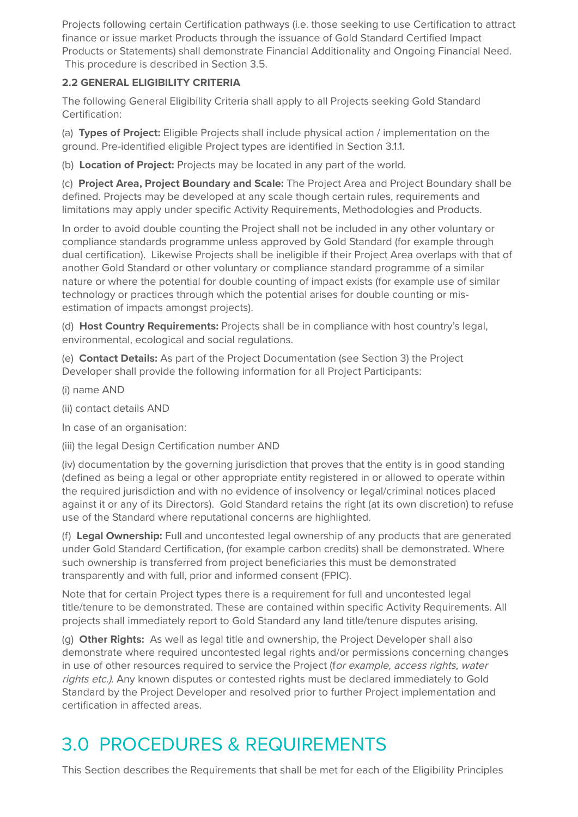Projects following certain Certification pathways (i.e. those seeking to use Certification to attract finance or issue market Products through the issuance of Gold Standard Certified Impact Products or Statements) shall demonstrate Financial Additionality and Ongoing Financial Need. This procedure is described in Section 3.5.

#### **2.2 GENERAL ELIGIBILITY CRITERIA**

The following General Eligibility Criteria shall apply to all Projects seeking Gold Standard Certification:

(a) **Types of Project:** Eligible Projects shall include physical action / implementation on the ground. Pre-identified eligible Project types are identified in Section 3.1.1.

(b) **Location of Project:** Projects may be located in any part of the world.

(c) **Project Area, Project Boundary and Scale:** The Project Area and Project Boundary shall be defined. Projects may be developed at any scale though certain rules, requirements and limitations may apply under specific Activity Requirements, Methodologies and Products.

In order to avoid double counting the Project shall not be included in any other voluntary or compliance standards programme unless approved by Gold Standard (for example through dual certification). Likewise Projects shall be ineligible if their Project Area overlaps with that of another Gold Standard or other voluntary or compliance standard programme of a similar nature or where the potential for double counting of impact exists (for example use of similar technology or practices through which the potential arises for double counting or misestimation of impacts amongst projects).

(d) **Host Country Requirements:** Projects shall be in compliance with host country's legal, environmental, ecological and social regulations.

(e) **Contact Details:** As part of the Project Documentation (see Section 3) the Project Developer shall provide the following information for all Project Participants:

- (i) name AND
- (ii) contact details AND

In case of an organisation:

(iii) the legal Design Certification number AND

(iv) documentation by the governing jurisdiction that proves that the entity is in good standing (defined as being a legal or other appropriate entity registered in or allowed to operate within the required jurisdiction and with no evidence of insolvency or legal/criminal notices placed against it or any of its Directors). Gold Standard retains the right (at its own discretion) to refuse use of the Standard where reputational concerns are highlighted.

(f) **Legal Ownership:** Full and uncontested legal ownership of any products that are generated under Gold Standard Certification, (for example carbon credits) shall be demonstrated. Where such ownership is transferred from project beneficiaries this must be demonstrated transparently and with full, prior and informed consent (FPIC).

Note that for certain Project types there is a requirement for full and uncontested legal title/tenure to be demonstrated. These are contained within specific Activity Requirements. All projects shall immediately report to Gold Standard any land title/tenure disputes arising.

(g) **Other Rights:** As well as legal title and ownership, the Project Developer shall also demonstrate where required uncontested legal rights and/or permissions concerning changes in use of other resources required to service the Project (for example, access rights, water rights etc.). Any known disputes or contested rights must be declared immediately to Gold Standard by the Project Developer and resolved prior to further Project implementation and certification in affected areas.

# 3.0 PROCEDURES & REQUIREMENTS

This Section describes the Requirements that shall be met for each of the Eligibility Principles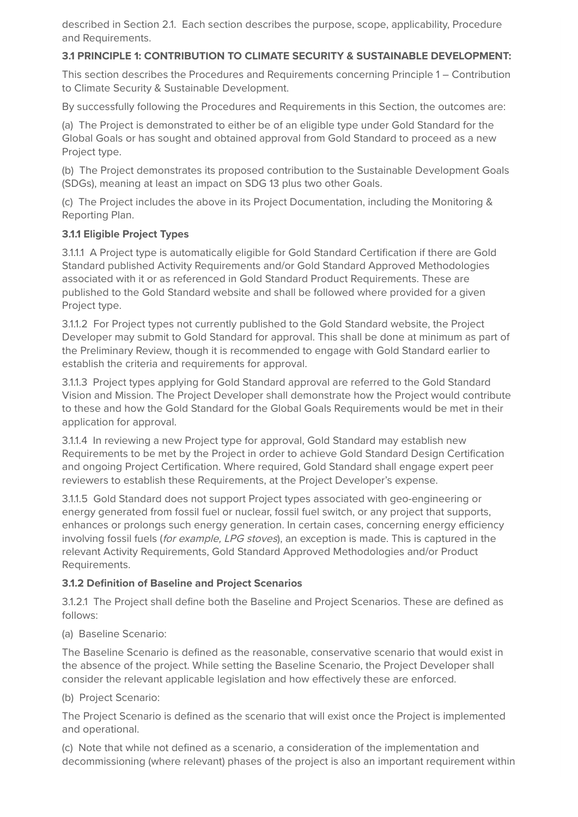described in Section 2.1. Each section describes the purpose, scope, applicability, Procedure and Requirements.

#### **3.1 PRINCIPLE 1: CONTRIBUTION TO CLIMATE SECURITY & SUSTAINABLE DEVELOPMENT:**

This section describes the Procedures and Requirements concerning Principle 1 – Contribution to Climate Security & Sustainable Development.

By successfully following the Procedures and Requirements in this Section, the outcomes are:

(a) The Project is demonstrated to either be of an eligible type under Gold Standard for the Global Goals or has sought and obtained approval from Gold Standard to proceed as a new Project type.

(b) The Project demonstrates its proposed contribution to the Sustainable Development Goals (SDGs), meaning at least an impact on SDG 13 plus two other Goals.

(c) The Project includes the above in its Project Documentation, including the Monitoring & Reporting Plan.

#### **3.1.1 Eligible Project Types**

3.1.1.1 A Project type is automatically eligible for Gold Standard Certification if there are Gold Standard published Activity Requirements and/or Gold Standard Approved Methodologies associated with it or as referenced in Gold Standard Product Requirements. These are published to the Gold Standard website and shall be followed where provided for a given Project type.

3.1.1.2 For Project types not currently published to the Gold Standard website, the Project Developer may submit to Gold Standard for approval. This shall be done at minimum as part of the Preliminary Review, though it is recommended to engage with Gold Standard earlier to establish the criteria and requirements for approval.

3.1.1.3 Project types applying for Gold Standard approval are referred to the Gold Standard Vision and Mission. The Project Developer shall demonstrate how the Project would contribute to these and how the Gold Standard for the Global Goals Requirements would be met in their application for approval.

3.1.1.4 In reviewing a new Project type for approval, Gold Standard may establish new Requirements to be met by the Project in order to achieve Gold Standard Design Certification and ongoing Project Certification. Where required, Gold Standard shall engage expert peer reviewers to establish these Requirements, at the Project Developer's expense.

3.1.1.5 Gold Standard does not support Project types associated with geo-engineering or energy generated from fossil fuel or nuclear, fossil fuel switch, or any project that supports, enhances or prolongs such energy generation. In certain cases, concerning energy efficiency involving fossil fuels (for example, LPG stoves), an exception is made. This is captured in the relevant Activity Requirements, Gold Standard Approved Methodologies and/or Product Requirements.

#### **3.1.2 Definition of Baseline and Project Scenarios**

3.1.2.1 The Project shall define both the Baseline and Project Scenarios. These are defined as follows:

#### (a) Baseline Scenario:

The Baseline Scenario is defined as the reasonable, conservative scenario that would exist in the absence of the project. While setting the Baseline Scenario, the Project Developer shall consider the relevant applicable legislation and how effectively these are enforced.

#### (b) Project Scenario:

The Project Scenario is defined as the scenario that will exist once the Project is implemented and operational.

(c) Note that while not defined as a scenario, a consideration of the implementation and decommissioning (where relevant) phases of the project is also an important requirement within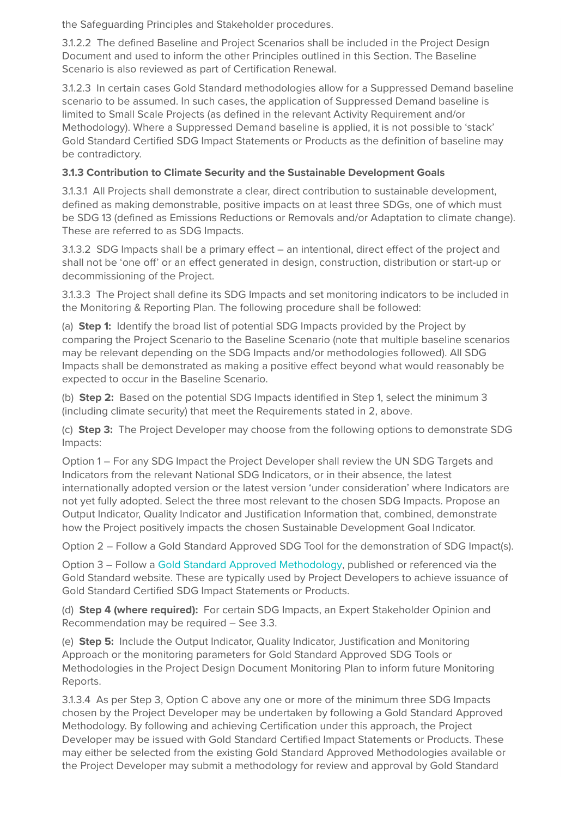the Safeguarding Principles and Stakeholder procedures.

3.1.2.2 The defined Baseline and Project Scenarios shall be included in the Project Design Document and used to inform the other Principles outlined in this Section. The Baseline Scenario is also reviewed as part of Certification Renewal.

3.1.2.3 In certain cases Gold Standard methodologies allow for a Suppressed Demand baseline scenario to be assumed. In such cases, the application of Suppressed Demand baseline is limited to Small Scale Projects (as defined in the relevant Activity Requirement and/or Methodology). Where a Suppressed Demand baseline is applied, it is not possible to 'stack' Gold Standard Certified SDG Impact Statements or Products as the definition of baseline may be contradictory.

#### **3.1.3 Contribution to Climate Security and the Sustainable Development Goals**

3.1.3.1 All Projects shall demonstrate a clear, direct contribution to sustainable development, defined as making demonstrable, positive impacts on at least three SDGs, one of which must be SDG 13 (defined as Emissions Reductions or Removals and/or Adaptation to climate change). These are referred to as SDG Impacts.

3.1.3.2 SDG Impacts shall be a primary effect – an intentional, direct effect of the project and shall not be 'one off' or an effect generated in design, construction, distribution or start-up or decommissioning of the Project.

3.1.3.3 The Project shall define its SDG Impacts and set monitoring indicators to be included in the Monitoring & Reporting Plan. The following procedure shall be followed:

(a) **Step 1:** Identify the broad list of potential SDG Impacts provided by the Project by comparing the Project Scenario to the Baseline Scenario (note that multiple baseline scenarios may be relevant depending on the SDG Impacts and/or methodologies followed). All SDG Impacts shall be demonstrated as making a positive effect beyond what would reasonably be expected to occur in the Baseline Scenario.

(b) **Step 2:** Based on the potential SDG Impacts identified in Step 1, select the minimum 3 (including climate security) that meet the Requirements stated in 2, above.

(c) **Step 3:** The Project Developer may choose from the following options to demonstrate SDG Impacts:

Option 1 – For any SDG Impact the Project Developer shall review the UN SDG Targets and Indicators from the relevant National SDG Indicators, or in their absence, the latest internationally adopted version or the latest version 'under consideration' where Indicators are not yet fully adopted. Select the three most relevant to the chosen SDG Impacts. Propose an Output Indicator, Quality Indicator and Justification Information that, combined, demonstrate how the Project positively impacts the chosen Sustainable Development Goal Indicator.

Option 2 – Follow a Gold Standard Approved SDG Tool for the demonstration of SDG Impact(s).

Option 3 – Follow a Gold Standard Approved Methodology, published or referenced via the Gold Standard website. These are typically used by Project Developers to achieve issuance of Gold Standard Certified SDG Impact Statements or Products.

(d) **Step 4 (where required):** For certain SDG Impacts, an Expert Stakeholder Opinion and Recommendation may be required – See 3.3.

(e) **Step 5:** Include the Output Indicator, Quality Indicator, Justification and Monitoring Approach or the monitoring parameters for Gold Standard Approved SDG Tools or Methodologies in the Project Design Document Monitoring Plan to inform future Monitoring Reports.

3.1.3.4 As per Step 3, Option C above any one or more of the minimum three SDG Impacts chosen by the Project Developer may be undertaken by following a Gold Standard Approved Methodology. By following and achieving Certification under this approach, the Project Developer may be issued with Gold Standard Certified Impact Statements or Products. These may either be selected from the existing Gold Standard Approved Methodologies available or the Project Developer may submit a methodology for review and approval by Gold Standard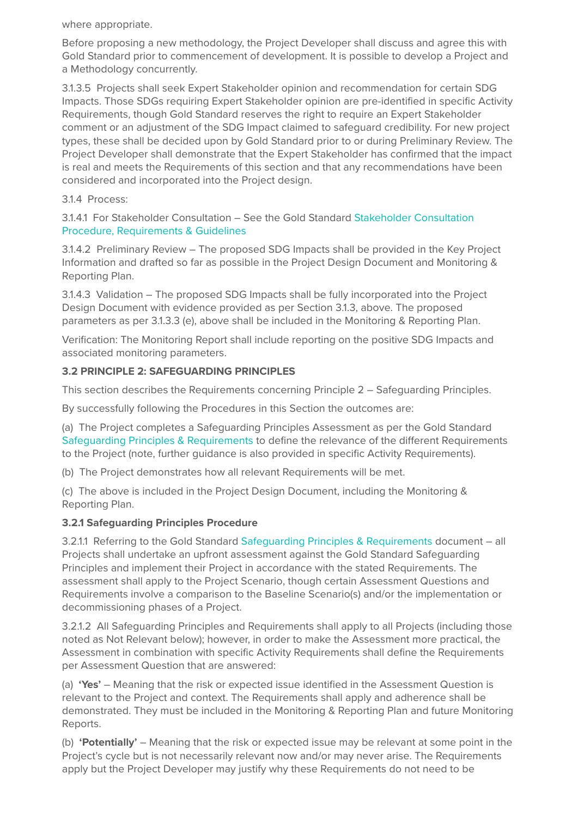where appropriate.

Before proposing a new methodology, the Project Developer shall discuss and agree this with Gold Standard prior to commencement of development. It is possible to develop a Project and a Methodology concurrently.

3.1.3.5 Projects shall seek Expert Stakeholder opinion and recommendation for certain SDG Impacts. Those SDGs requiring Expert Stakeholder opinion are pre-identified in specific Activity Requirements, though Gold Standard reserves the right to require an Expert Stakeholder comment or an adjustment of the SDG Impact claimed to safeguard credibility. For new project types, these shall be decided upon by Gold Standard prior to or during Preliminary Review. The Project Developer shall demonstrate that the Expert Stakeholder has confirmed that the impact is real and meets the Requirements of this section and that any recommendations have been considered and incorporated into the Project design.

#### 3.1.4 Process:

3.1.4.1 For Stakeholder Consultation – See the Gold Standard Stakeholder Consultation Procedure, Requirements & Guidelines

3.1.4.2 Preliminary Review – The proposed SDG Impacts shall be provided in the Key Project Information and drafted so far as possible in the Project Design Document and Monitoring & Reporting Plan.

3.1.4.3 Validation – The proposed SDG Impacts shall be fully incorporated into the Project Design Document with evidence provided as per Section 3.1.3, above. The proposed parameters as per 3.1.3.3 (e), above shall be included in the Monitoring & Reporting Plan.

Verification: The Monitoring Report shall include reporting on the positive SDG Impacts and associated monitoring parameters.

#### **3.2 PRINCIPLE 2: SAFEGUARDING PRINCIPLES**

This section describes the Requirements concerning Principle 2 – Safeguarding Principles.

By successfully following the Procedures in this Section the outcomes are:

(a) The Project completes a Safeguarding Principles Assessment as per the Gold Standard Safeguarding Principles & Requirements to define the relevance of the different Requirements to the Project (note, further guidance is also provided in specific Activity Requirements).

(b) The Project demonstrates how all relevant Requirements will be met.

(c) The above is included in the Project Design Document, including the Monitoring & Reporting Plan.

#### **3.2.1 Safeguarding Principles Procedure**

3.2.1.1 Referring to the Gold Standard Safeguarding Principles & Requirements document – all Projects shall undertake an upfront assessment against the Gold Standard Safeguarding Principles and implement their Project in accordance with the stated Requirements. The assessment shall apply to the Project Scenario, though certain Assessment Questions and Requirements involve a comparison to the Baseline Scenario(s) and/or the implementation or decommissioning phases of a Project.

3.2.1.2 All Safeguarding Principles and Requirements shall apply to all Projects (including those noted as Not Relevant below); however, in order to make the Assessment more practical, the Assessment in combination with specific Activity Requirements shall define the Requirements per Assessment Question that are answered:

(a) **'Yes'** – Meaning that the risk or expected issue identified in the Assessment Question is relevant to the Project and context. The Requirements shall apply and adherence shall be demonstrated. They must be included in the Monitoring & Reporting Plan and future Monitoring Reports.

(b) **'Potentially'** – Meaning that the risk or expected issue may be relevant at some point in the Project's cycle but is not necessarily relevant now and/or may never arise. The Requirements apply but the Project Developer may justify why these Requirements do not need to be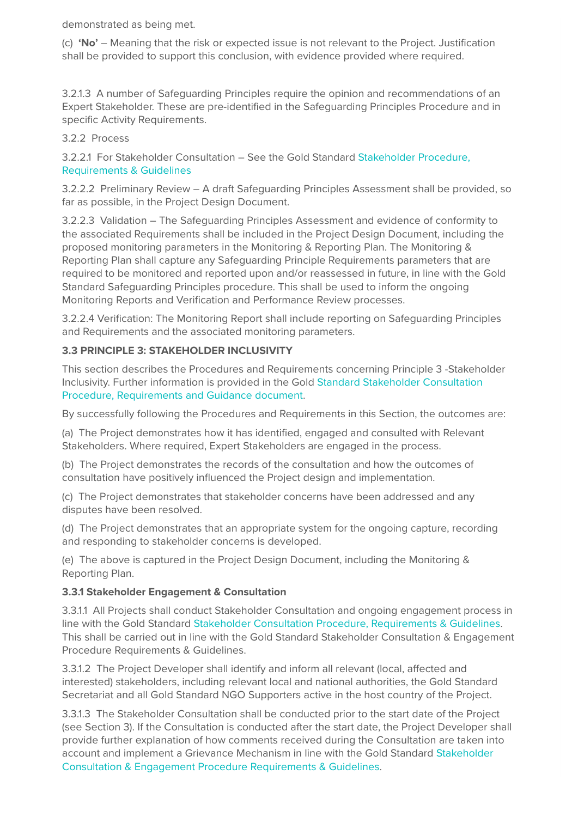demonstrated as being met.

(c) **'No'** – Meaning that the risk or expected issue is not relevant to the Project. Justification shall be provided to support this conclusion, with evidence provided where required.

3.2.1.3 A number of Safeguarding Principles require the opinion and recommendations of an Expert Stakeholder. These are pre-identified in the Safeguarding Principles Procedure and in specific Activity Requirements.

#### 3.2.2 Process

3.2.2.1 For Stakeholder Consultation – See the Gold Standard Stakeholder Procedure, Requirements & Guidelines

3.2.2.2 Preliminary Review – A draft Safeguarding Principles Assessment shall be provided, so far as possible, in the Project Design Document.

3.2.2.3 Validation – The Safeguarding Principles Assessment and evidence of conformity to the associated Requirements shall be included in the Project Design Document, including the proposed monitoring parameters in the Monitoring & Reporting Plan. The Monitoring & Reporting Plan shall capture any Safeguarding Principle Requirements parameters that are required to be monitored and reported upon and/or reassessed in future, in line with the Gold Standard Safeguarding Principles procedure. This shall be used to inform the ongoing Monitoring Reports and Verification and Performance Review processes.

3.2.2.4 Verification: The Monitoring Report shall include reporting on Safeguarding Principles and Requirements and the associated monitoring parameters.

#### **3.3 PRINCIPLE 3: STAKEHOLDER INCLUSIVITY**

This section describes the Procedures and Requirements concerning Principle 3 -Stakeholder Inclusivity. Further information is provided in the Gold Standard Stakeholder Consultation Procedure, Requirements and Guidance document.

By successfully following the Procedures and Requirements in this Section, the outcomes are:

(a) The Project demonstrates how it has identified, engaged and consulted with Relevant Stakeholders. Where required, Expert Stakeholders are engaged in the process.

(b) The Project demonstrates the records of the consultation and how the outcomes of consultation have positively influenced the Project design and implementation.

(c) The Project demonstrates that stakeholder concerns have been addressed and any disputes have been resolved.

(d) The Project demonstrates that an appropriate system for the ongoing capture, recording and responding to stakeholder concerns is developed.

(e) The above is captured in the Project Design Document, including the Monitoring & Reporting Plan.

#### **3.3.1 Stakeholder Engagement & Consultation**

3.3.1.1 All Projects shall conduct Stakeholder Consultation and ongoing engagement process in line with the Gold Standard Stakeholder Consultation Procedure, Requirements & Guidelines. This shall be carried out in line with the Gold Standard Stakeholder Consultation & Engagement Procedure Requirements & Guidelines.

3.3.1.2 The Project Developer shall identify and inform all relevant (local, affected and interested) stakeholders, including relevant local and national authorities, the Gold Standard Secretariat and all Gold Standard NGO Supporters active in the host country of the Project.

3.3.1.3 The Stakeholder Consultation shall be conducted prior to the start date of the Project (see Section 3). If the Consultation is conducted after the start date, the Project Developer shall provide further explanation of how comments received during the Consultation are taken into account and implement a Grievance Mechanism in line with the Gold Standard Stakeholder Consultation & Engagement Procedure Requirements & Guidelines.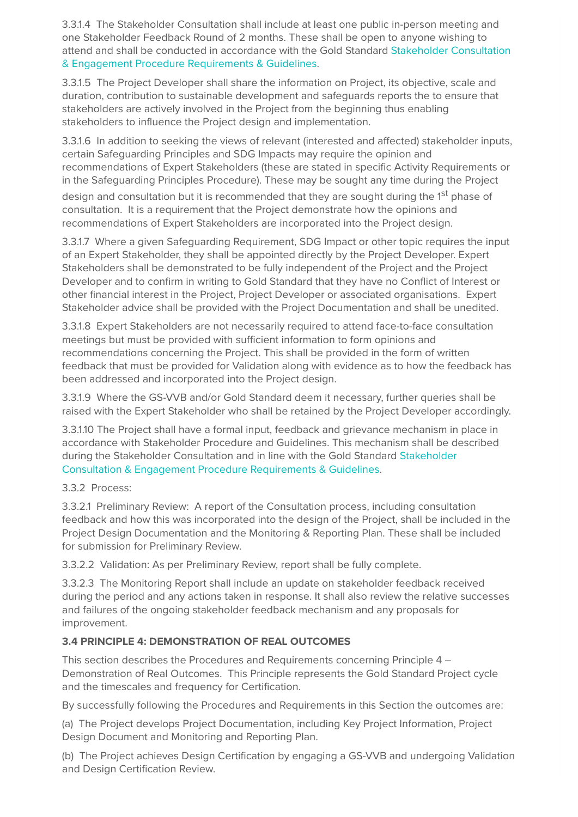3.3.1.4 The Stakeholder Consultation shall include at least one public in-person meeting and one Stakeholder Feedback Round of 2 months. These shall be open to anyone wishing to attend and shall be conducted in accordance with the Gold Standard Stakeholder Consultation & Engagement Procedure Requirements & Guidelines.

3.3.1.5 The Project Developer shall share the information on Project, its objective, scale and duration, contribution to sustainable development and safeguards reports the to ensure that stakeholders are actively involved in the Project from the beginning thus enabling stakeholders to influence the Project design and implementation.

3.3.1.6 In addition to seeking the views of relevant (interested and affected) stakeholder inputs, certain Safeguarding Principles and SDG Impacts may require the opinion and recommendations of Expert Stakeholders (these are stated in specific Activity Requirements or in the Safeguarding Principles Procedure). These may be sought any time during the Project design and consultation but it is recommended that they are sought during the 1<sup>st</sup> phase of consultation. It is a requirement that the Project demonstrate how the opinions and recommendations of Expert Stakeholders are incorporated into the Project design.

3.3.1.7 Where a given Safeguarding Requirement, SDG Impact or other topic requires the input of an Expert Stakeholder, they shall be appointed directly by the Project Developer. Expert Stakeholders shall be demonstrated to be fully independent of the Project and the Project Developer and to confirm in writing to Gold Standard that they have no Conflict of Interest or other financial interest in the Project, Project Developer or associated organisations. Expert Stakeholder advice shall be provided with the Project Documentation and shall be unedited.

3.3.1.8 Expert Stakeholders are not necessarily required to attend face-to-face consultation meetings but must be provided with sufficient information to form opinions and recommendations concerning the Project. This shall be provided in the form of written feedback that must be provided for Validation along with evidence as to how the feedback has been addressed and incorporated into the Project design.

3.3.1.9 Where the GS-VVB and/or Gold Standard deem it necessary, further queries shall be raised with the Expert Stakeholder who shall be retained by the Project Developer accordingly.

3.3.1.10 The Project shall have a formal input, feedback and grievance mechanism in place in accordance with Stakeholder Procedure and Guidelines. This mechanism shall be described during the Stakeholder Consultation and in line with the Gold Standard Stakeholder Consultation & Engagement Procedure Requirements & Guidelines.

#### 3.3.2 Process:

3.3.2.1 Preliminary Review: A report of the Consultation process, including consultation feedback and how this was incorporated into the design of the Project, shall be included in the Project Design Documentation and the Monitoring & Reporting Plan. These shall be included for submission for Preliminary Review.

3.3.2.2 Validation: As per Preliminary Review, report shall be fully complete.

3.3.2.3 The Monitoring Report shall include an update on stakeholder feedback received during the period and any actions taken in response. It shall also review the relative successes and failures of the ongoing stakeholder feedback mechanism and any proposals for improvement.

#### **3.4 PRINCIPLE 4: DEMONSTRATION OF REAL OUTCOMES**

This section describes the Procedures and Requirements concerning Principle 4 – Demonstration of Real Outcomes. This Principle represents the Gold Standard Project cycle and the timescales and frequency for Certification.

By successfully following the Procedures and Requirements in this Section the outcomes are:

(a) The Project develops Project Documentation, including Key Project Information, Project Design Document and Monitoring and Reporting Plan.

(b) The Project achieves Design Certification by engaging a GS-VVB and undergoing Validation and Design Certification Review.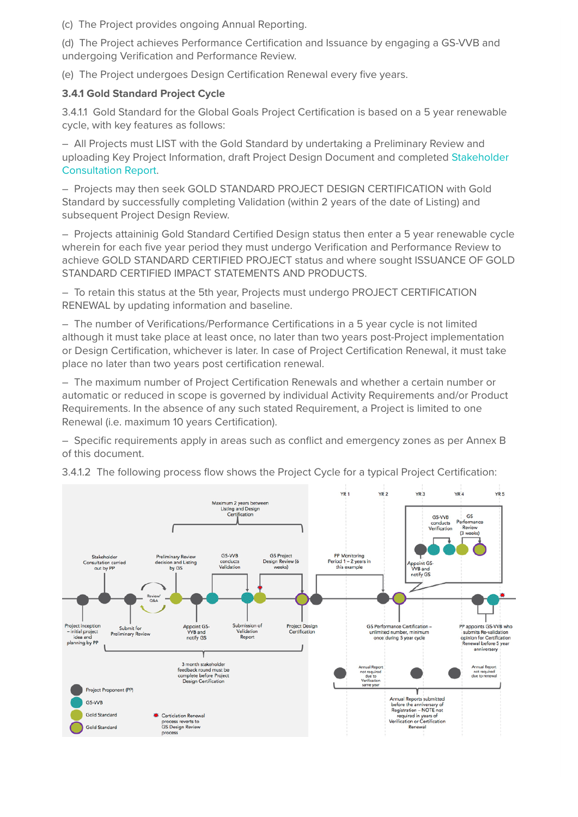(c) The Project provides ongoing Annual Reporting.

(d) The Project achieves Performance Certification and Issuance by engaging a GS-VVB and undergoing Verification and Performance Review.

(e) The Project undergoes Design Certification Renewal every five years.

#### **3.4.1 Gold Standard Project Cycle**

3.4.1.1 Gold Standard for the Global Goals Project Certification is based on a 5 year renewable cycle, with key features as follows:

– All Projects must LIST with the Gold Standard by undertaking a Preliminary Review and uploading Key Project Information, draft Project Design Document and completed Stakeholder Consultation Report.

– Projects may then seek GOLD STANDARD PROJECT DESIGN CERTIFICATION with Gold Standard by successfully completing Validation (within 2 years of the date of Listing) and subsequent Project Design Review.

– Projects attaininig Gold Standard Certified Design status then enter a 5 year renewable cycle wherein for each five year period they must undergo Verification and Performance Review to achieve GOLD STANDARD CERTIFIED PROJECT status and where sought ISSUANCE OF GOLD STANDARD CERTIFIED IMPACT STATEMENTS AND PRODUCTS.

– To retain this status at the 5th year, Projects must undergo PROJECT CERTIFICATION RENEWAL by updating information and baseline.

– The number of Verifications/Performance Certifications in a 5 year cycle is not limited although it must take place at least once, no later than two years post-Project implementation or Design Certification, whichever is later. In case of Project Certification Renewal, it must take place no later than two years post certification renewal.

– The maximum number of Project Certification Renewals and whether a certain number or automatic or reduced in scope is governed by individual Activity Requirements and/or Product Requirements. In the absence of any such stated Requirement, a Project is limited to one Renewal (i.e. maximum 10 years Certification).

– Specific requirements apply in areas such as conflict and emergency zones as per Annex B of this document.



3.4.1.2 The following process flow shows the Project Cycle for a typical Project Certification: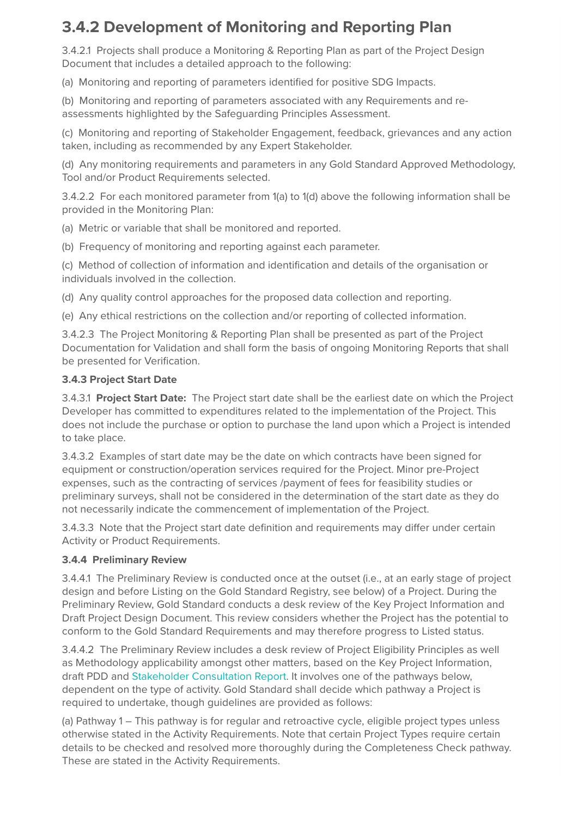### **3.4.2 Development of Monitoring and Reporting Plan**

3.4.2.1 Projects shall produce a Monitoring & Reporting Plan as part of the Project Design Document that includes a detailed approach to the following:

(a) Monitoring and reporting of parameters identified for positive SDG Impacts.

(b) Monitoring and reporting of parameters associated with any Requirements and reassessments highlighted by the Safeguarding Principles Assessment.

(c) Monitoring and reporting of Stakeholder Engagement, feedback, grievances and any action taken, including as recommended by any Expert Stakeholder.

(d) Any monitoring requirements and parameters in any Gold Standard Approved Methodology, Tool and/or Product Requirements selected.

3.4.2.2 For each monitored parameter from 1(a) to 1(d) above the following information shall be provided in the Monitoring Plan:

(a) Metric or variable that shall be monitored and reported.

(b) Frequency of monitoring and reporting against each parameter.

(c) Method of collection of information and identification and details of the organisation or individuals involved in the collection.

(d) Any quality control approaches for the proposed data collection and reporting.

(e) Any ethical restrictions on the collection and/or reporting of collected information.

3.4.2.3 The Project Monitoring & Reporting Plan shall be presented as part of the Project Documentation for Validation and shall form the basis of ongoing Monitoring Reports that shall be presented for Verification.

#### **3.4.3 Project Start Date**

3.4.3.1 **Project Start Date:** The Project start date shall be the earliest date on which the Project Developer has committed to expenditures related to the implementation of the Project. This does not include the purchase or option to purchase the land upon which a Project is intended to take place.

3.4.3.2 Examples of start date may be the date on which contracts have been signed for equipment or construction/operation services required for the Project. Minor pre-Project expenses, such as the contracting of services /payment of fees for feasibility studies or preliminary surveys, shall not be considered in the determination of the start date as they do not necessarily indicate the commencement of implementation of the Project.

3.4.3.3 Note that the Project start date definition and requirements may differ under certain Activity or Product Requirements.

#### **3.4.4 Preliminary Review**

3.4.4.1 The Preliminary Review is conducted once at the outset (i.e., at an early stage of project design and before Listing on the Gold Standard Registry, see below) of a Project. During the Preliminary Review, Gold Standard conducts a desk review of the Key Project Information and Draft Project Design Document. This review considers whether the Project has the potential to conform to the Gold Standard Requirements and may therefore progress to Listed status.

3.4.4.2 The Preliminary Review includes a desk review of Project Eligibility Principles as well as Methodology applicability amongst other matters, based on the Key Project Information, draft PDD and Stakeholder Consultation Report. It involves one of the pathways below, dependent on the type of activity. Gold Standard shall decide which pathway a Project is required to undertake, though guidelines are provided as follows:

(a) Pathway 1 – This pathway is for regular and retroactive cycle, eligible project types unless otherwise stated in the Activity Requirements. Note that certain Project Types require certain details to be checked and resolved more thoroughly during the Completeness Check pathway. These are stated in the Activity Requirements.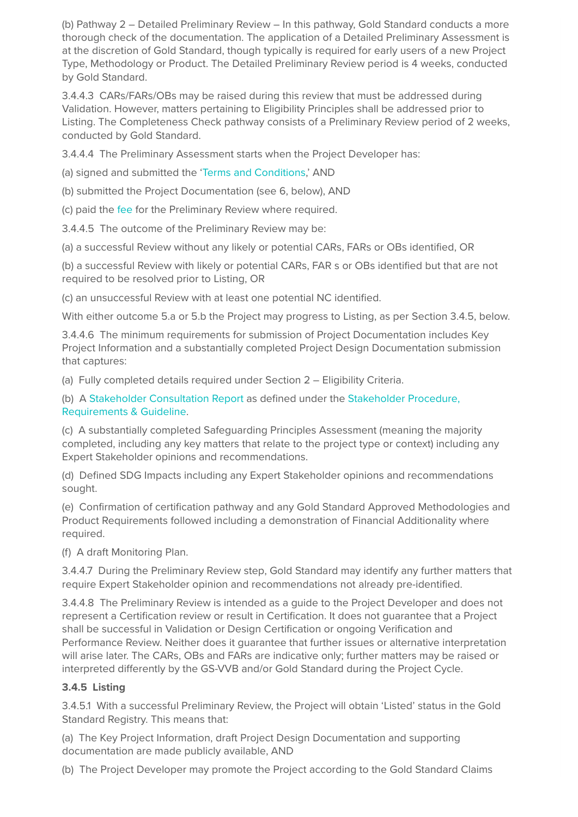(b) Pathway 2 – Detailed Preliminary Review – In this pathway, Gold Standard conducts a more thorough check of the documentation. The application of a Detailed Preliminary Assessment is at the discretion of Gold Standard, though typically is required for early users of a new Project Type, Methodology or Product. The Detailed Preliminary Review period is 4 weeks, conducted by Gold Standard.

3.4.4.3 CARs/FARs/OBs may be raised during this review that must be addressed during Validation. However, matters pertaining to Eligibility Principles shall be addressed prior to Listing. The Completeness Check pathway consists of a Preliminary Review period of 2 weeks, conducted by Gold Standard.

3.4.4.4 The Preliminary Assessment starts when the Project Developer has:

(a) signed and submitted the 'Terms and Conditions,' AND

(b) submitted the Project Documentation (see 6, below), AND

(c) paid the fee for the Preliminary Review where required.

3.4.4.5 The outcome of the Preliminary Review may be:

(a) a successful Review without any likely or potential CARs, FARs or OBs identified, OR

(b) a successful Review with likely or potential CARs, FAR s or OBs identified but that are not required to be resolved prior to Listing, OR

(c) an unsuccessful Review with at least one potential NC identified.

With either outcome 5.a or 5.b the Project may progress to Listing, as per Section 3.4.5, below.

3.4.4.6 The minimum requirements for submission of Project Documentation includes Key Project Information and a substantially completed Project Design Documentation submission that captures:

(a) Fully completed details required under Section 2 – Eligibility Criteria.

(b) A Stakeholder Consultation Report as defined under the Stakeholder Procedure, Requirements & Guideline.

(c) A substantially completed Safeguarding Principles Assessment (meaning the majority completed, including any key matters that relate to the project type or context) including any Expert Stakeholder opinions and recommendations.

(d) Defined SDG Impacts including any Expert Stakeholder opinions and recommendations sought.

(e) Confirmation of certification pathway and any Gold Standard Approved Methodologies and Product Requirements followed including a demonstration of Financial Additionality where required.

(f) A draft Monitoring Plan.

3.4.4.7 During the Preliminary Review step, Gold Standard may identify any further matters that require Expert Stakeholder opinion and recommendations not already pre-identified.

3.4.4.8 The Preliminary Review is intended as a guide to the Project Developer and does not represent a Certification review or result in Certification. It does not guarantee that a Project shall be successful in Validation or Design Certification or ongoing Verification and Performance Review. Neither does it guarantee that further issues or alternative interpretation will arise later. The CARs, OBs and FARs are indicative only; further matters may be raised or interpreted differently by the GS-VVB and/or Gold Standard during the Project Cycle.

#### **3.4.5 Listing**

3.4.5.1 With a successful Preliminary Review, the Project will obtain 'Listed' status in the Gold Standard Registry. This means that:

(a) The Key Project Information, draft Project Design Documentation and supporting documentation are made publicly available, AND

(b) The Project Developer may promote the Project according to the Gold Standard Claims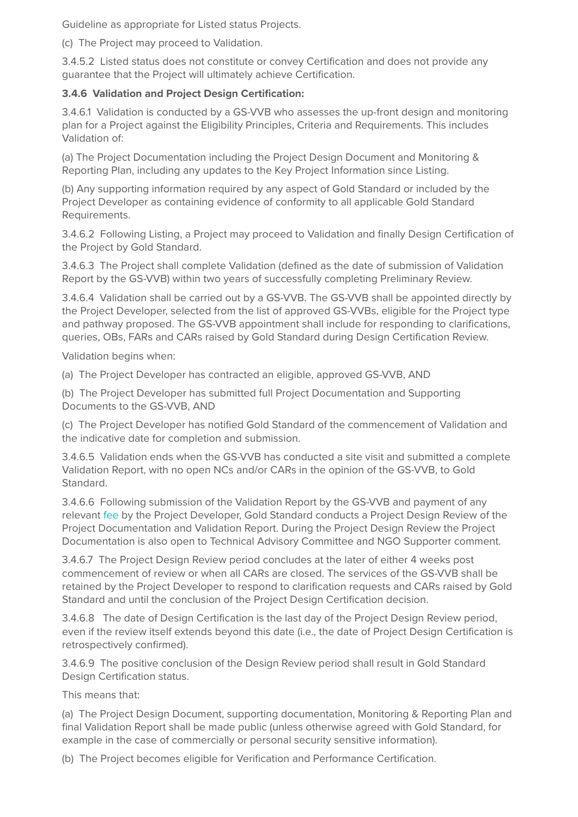Guideline as appropriate for Listed status Projects.

(c) The Project may proceed to Validation.

3.4.5.2 Listed status does not constitute or convey Certification and does not provide any guarantee that the Project will ultimately achieve Certification.

#### **3.4.6 Validation and Project Design Certification:**

3.4.6.1 Validation is conducted by a GS-VVB who assesses the up-front design and monitoring plan for a Project against the Eligibility Principles, Criteria and Requirements. This includes Validation of:

(a) The Project Documentation including the Project Design Document and Monitoring & Reporting Plan, including any updates to the Key Project Information since Listing.

(b) Any supporting information required by any aspect of Gold Standard or included by the Project Developer as containing evidence of conformity to all applicable Gold Standard Requirements.

3.4.6.2 Following Listing, a Project may proceed to Validation and finally Design Certification of the Project by Gold Standard.

3.4.6.3 The Project shall complete Validation (defined as the date of submission of Validation Report by the GS-VVB) within two years of successfully completing Preliminary Review.

3.4.6.4 Validation shall be carried out by a GS-VVB. The GS-VVB shall be appointed directly by the Project Developer, selected from the list of approved GS-VVBs, eligible for the Project type and pathway proposed. The GS-VVB appointment shall include for responding to clarifications, queries, OBs, FARs and CARs raised by Gold Standard during Design Certification Review.

Validation begins when:

(a) The Project Developer has contracted an eligible, approved GS-VVB, AND

(b) The Project Developer has submitted full Project Documentation and Supporting Documents to the GS-VVB, AND

(c) The Project Developer has notified Gold Standard of the commencement of Validation and the indicative date for completion and submission.

3.4.6.5 Validation ends when the GS-VVB has conducted a site visit and submitted a complete Validation Report, with no open NCs and/or CARs in the opinion of the GS-VVB, to Gold Standard.

3.4.6.6 Following submission of the Validation Report by the GS-VVB and payment of any relevant fee by the Project Developer, Gold Standard conducts a Project Design Review of the Project Documentation and Validation Report. During the Project Design Review the Project Documentation is also open to Technical Advisory Committee and NGO Supporter comment.

3.4.6.7 The Project Design Review period concludes at the later of either 4 weeks post commencement of review or when all CARs are closed. The services of the GS-VVB shall be retained by the Project Developer to respond to clarification requests and CARs raised by Gold Standard and until the conclusion of the Project Design Certification decision.

3.4.6.8 The date of Design Certification is the last day of the Project Design Review period, even if the review itself extends beyond this date (i.e., the date of Project Design Certification is retrospectively confirmed).

3.4.6.9 The positive conclusion of the Design Review period shall result in Gold Standard Design Certification status.

This means that:

(a) The Project Design Document, supporting documentation, Monitoring & Reporting Plan and final Validation Report shall be made public (unless otherwise agreed with Gold Standard, for example in the case of commercially or personal security sensitive information).

(b) The Project becomes eligible for Verification and Performance Certification.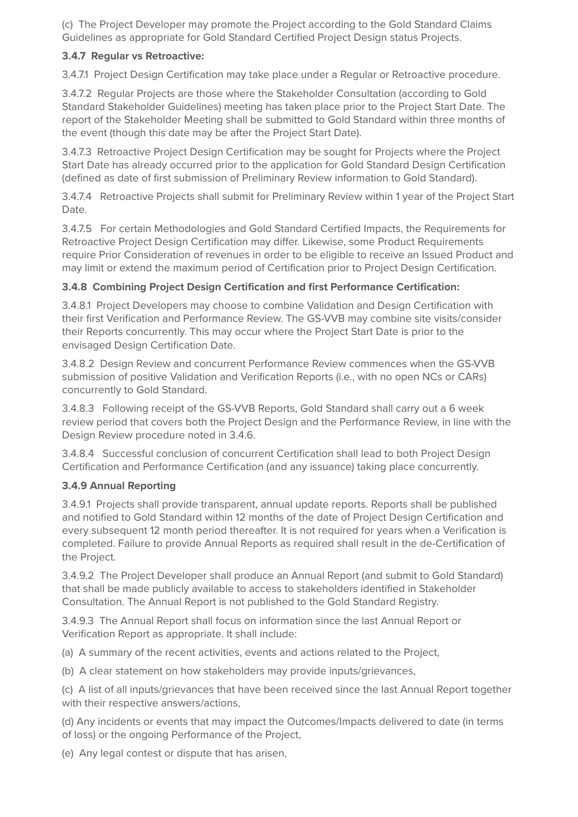(c) The Project Developer may promote the Project according to the Gold Standard Claims Guidelines as appropriate for Gold Standard Certified Project Design status Projects.

#### **3.4.7 Regular vs Retroactive:**

3.4.7.1 Project Design Certification may take place under a Regular or Retroactive procedure.

3.4.7.2 Regular Projects are those where the Stakeholder Consultation (according to Gold Standard Stakeholder Guidelines) meeting has taken place prior to the Project Start Date. The report of the Stakeholder Meeting shall be submitted to Gold Standard within three months of the event (though this date may be after the Project Start Date).

3.4.7.3 Retroactive Project Design Certification may be sought for Projects where the Project Start Date has already occurred prior to the application for Gold Standard Design Certification (defined as date of first submission of Preliminary Review information to Gold Standard).

3.4.7.4 Retroactive Projects shall submit for Preliminary Review within 1 year of the Project Start Date.

3.4.7.5 For certain Methodologies and Gold Standard Certified Impacts, the Requirements for Retroactive Project Design Certification may differ. Likewise, some Product Requirements require Prior Consideration of revenues in order to be eligible to receive an Issued Product and may limit or extend the maximum period of Certification prior to Project Design Certification.

#### **3.4.8 Combining Project Design Certification and first Performance Certification:**

3.4.8.1 Project Developers may choose to combine Validation and Design Certification with their first Verification and Performance Review. The GS-VVB may combine site visits/consider their Reports concurrently. This may occur where the Project Start Date is prior to the envisaged Design Certification Date.

3.4.8.2 Design Review and concurrent Performance Review commences when the GS-VVB submission of positive Validation and Verification Reports (i.e., with no open NCs or CARs) concurrently to Gold Standard.

3.4.8.3 Following receipt of the GS-VVB Reports, Gold Standard shall carry out a 6 week review period that covers both the Project Design and the Performance Review, in line with the Design Review procedure noted in 3.4.6.

3.4.8.4 Successful conclusion of concurrent Certification shall lead to both Project Design Certification and Performance Certification (and any issuance) taking place concurrently.

#### **3.4.9 Annual Reporting**

3.4.9.1 Projects shall provide transparent, annual update reports. Reports shall be published and notified to Gold Standard within 12 months of the date of Project Design Certification and every subsequent 12 month period thereafter. It is not required for years when a Verification is completed. Failure to provide Annual Reports as required shall result in the de-Certification of the Project.

3.4.9.2 The Project Developer shall produce an Annual Report (and submit to Gold Standard) that shall be made publicly available to access to stakeholders identified in Stakeholder Consultation. The Annual Report is not published to the Gold Standard Registry.

3.4.9.3 The Annual Report shall focus on information since the last Annual Report or Verification Report as appropriate. It shall include:

(a) A summary of the recent activities, events and actions related to the Project,

(b) A clear statement on how stakeholders may provide inputs/grievances,

(c) A list of all inputs/grievances that have been received since the last Annual Report together with their respective answers/actions,

(d) Any incidents or events that may impact the Outcomes/Impacts delivered to date (in terms of loss) or the ongoing Performance of the Project,

(e) Any legal contest or dispute that has arisen,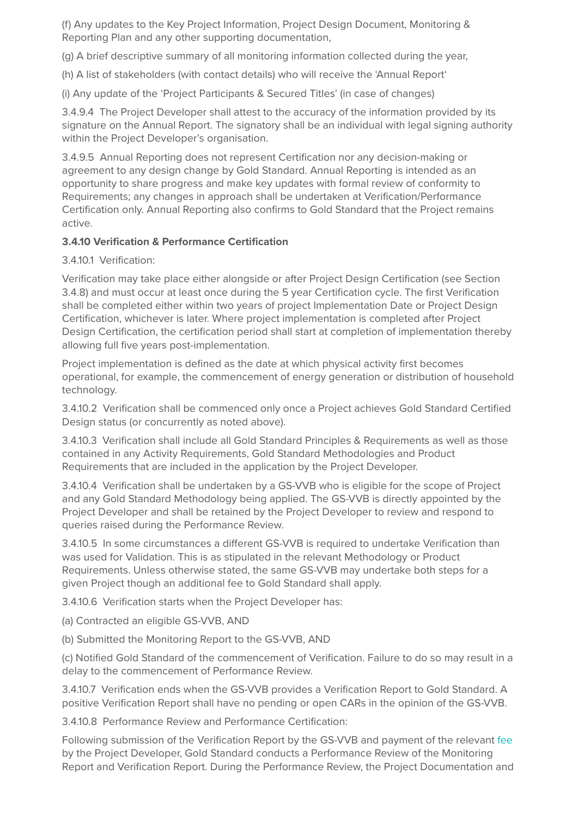(f) Any updates to the Key Project Information, Project Design Document, Monitoring & Reporting Plan and any other supporting documentation,

(g) A brief descriptive summary of all monitoring information collected during the year,

(h) A list of stakeholders (with contact details) who will receive the 'Annual Report'

(i) Any update of the 'Project Participants & Secured Titles' (in case of changes)

3.4.9.4 The Project Developer shall attest to the accuracy of the information provided by its signature on the Annual Report. The signatory shall be an individual with legal signing authority within the Project Developer's organisation.

3.4.9.5 Annual Reporting does not represent Certification nor any decision-making or agreement to any design change by Gold Standard. Annual Reporting is intended as an opportunity to share progress and make key updates with formal review of conformity to Requirements; any changes in approach shall be undertaken at Verification/Performance Certification only. Annual Reporting also confirms to Gold Standard that the Project remains active.

#### **3.4.10 Verification & Performance Certification**

3.4.10.1 Verification:

Verification may take place either alongside or after Project Design Certification (see Section 3.4.8) and must occur at least once during the 5 year Certification cycle. The first Verification shall be completed either within two years of project Implementation Date or Project Design Certification, whichever is later. Where project implementation is completed after Project Design Certification, the certification period shall start at completion of implementation thereby allowing full five years post-implementation.

Project implementation is defined as the date at which physical activity first becomes operational, for example, the commencement of energy generation or distribution of household technology.

3.4.10.2 Verification shall be commenced only once a Project achieves Gold Standard Certified Design status (or concurrently as noted above).

3.4.10.3 Verification shall include all Gold Standard Principles & Requirements as well as those contained in any Activity Requirements, Gold Standard Methodologies and Product Requirements that are included in the application by the Project Developer.

3.4.10.4 Verification shall be undertaken by a GS-VVB who is eligible for the scope of Project and any Gold Standard Methodology being applied. The GS-VVB is directly appointed by the Project Developer and shall be retained by the Project Developer to review and respond to queries raised during the Performance Review.

3.4.10.5 In some circumstances a different GS-VVB is required to undertake Verification than was used for Validation. This is as stipulated in the relevant Methodology or Product Requirements. Unless otherwise stated, the same GS-VVB may undertake both steps for a given Project though an additional fee to Gold Standard shall apply.

3.4.10.6 Verification starts when the Project Developer has:

(a) Contracted an eligible GS-VVB, AND

(b) Submitted the Monitoring Report to the GS-VVB, AND

(c) Notified Gold Standard of the commencement of Verification. Failure to do so may result in a delay to the commencement of Performance Review.

3.4.10.7 Verification ends when the GS-VVB provides a Verification Report to Gold Standard. A positive Verification Report shall have no pending or open CARs in the opinion of the GS-VVB.

3.4.10.8 Performance Review and Performance Certification:

Following submission of the Verification Report by the GS-VVB and payment of the relevant fee by the Project Developer, Gold Standard conducts a Performance Review of the Monitoring Report and Verification Report. During the Performance Review, the Project Documentation and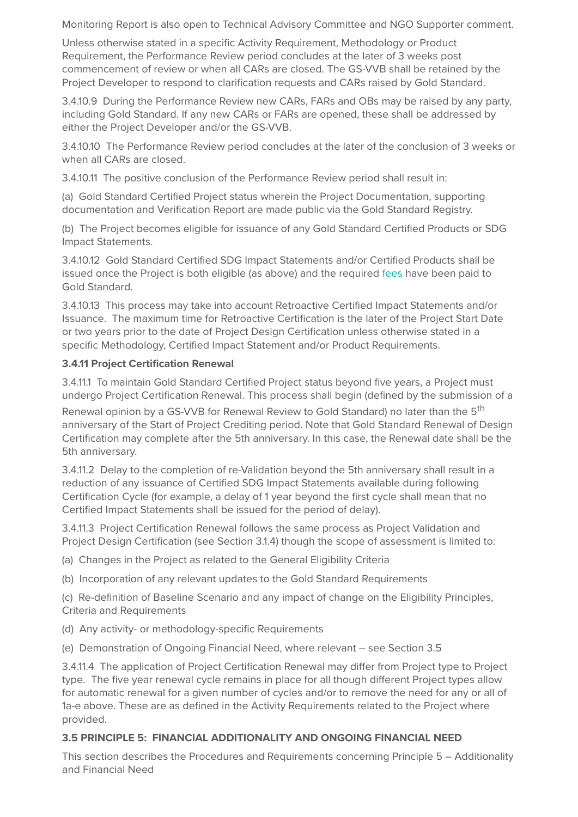Monitoring Report is also open to Technical Advisory Committee and NGO Supporter comment.

Unless otherwise stated in a specific Activity Requirement, Methodology or Product Requirement, the Performance Review period concludes at the later of 3 weeks post commencement of review or when all CARs are closed. The GS-VVB shall be retained by the Project Developer to respond to clarification requests and CARs raised by Gold Standard.

3.4.10.9 During the Performance Review new CARs, FARs and OBs may be raised by any party, including Gold Standard. If any new CARs or FARs are opened, these shall be addressed by either the Project Developer and/or the GS-VVB.

3.4.10.10 The Performance Review period concludes at the later of the conclusion of 3 weeks or when all CARs are closed.

3.4.10.11 The positive conclusion of the Performance Review period shall result in:

(a) Gold Standard Certified Project status wherein the Project Documentation, supporting documentation and Verification Report are made public via the Gold Standard Registry.

(b) The Project becomes eligible for issuance of any Gold Standard Certified Products or SDG Impact Statements.

3.4.10.12 Gold Standard Certified SDG Impact Statements and/or Certified Products shall be issued once the Project is both eligible (as above) and the required fees have been paid to Gold Standard.

3.4.10.13 This process may take into account Retroactive Certified Impact Statements and/or Issuance. The maximum time for Retroactive Certification is the later of the Project Start Date or two years prior to the date of Project Design Certification unless otherwise stated in a specific Methodology, Certified Impact Statement and/or Product Requirements.

#### **3.4.11 Project Certification Renewal**

3.4.11.1 To maintain Gold Standard Certified Project status beyond five years, a Project must undergo Project Certification Renewal. This process shall begin (defined by the submission of a

Renewal opinion by a GS-VVB for Renewal Review to Gold Standard) no later than the 5<sup>th</sup> anniversary of the Start of Project Crediting period. Note that Gold Standard Renewal of Design Certification may complete after the 5th anniversary. In this case, the Renewal date shall be the 5th anniversary.

3.4.11.2 Delay to the completion of re-Validation beyond the 5th anniversary shall result in a reduction of any issuance of Certified SDG Impact Statements available during following Certification Cycle (for example, a delay of 1 year beyond the first cycle shall mean that no Certified Impact Statements shall be issued for the period of delay).

3.4.11.3 Project Certification Renewal follows the same process as Project Validation and Project Design Certification (see Section 3.1.4) though the scope of assessment is limited to:

(a) Changes in the Project as related to the General Eligibility Criteria

(b) Incorporation of any relevant updates to the Gold Standard Requirements

(c) Re-definition of Baseline Scenario and any impact of change on the Eligibility Principles, Criteria and Requirements

(d) Any activity- or methodology-specific Requirements

(e) Demonstration of Ongoing Financial Need, where relevant – see Section 3.5

3.4.11.4 The application of Project Certification Renewal may differ from Project type to Project type. The five year renewal cycle remains in place for all though different Project types allow for automatic renewal for a given number of cycles and/or to remove the need for any or all of 1a-e above. These are as defined in the Activity Requirements related to the Project where provided.

#### **3.5 PRINCIPLE 5: FINANCIAL ADDITIONALITY AND ONGOING FINANCIAL NEED**

This section describes the Procedures and Requirements concerning Principle 5 – Additionality and Financial Need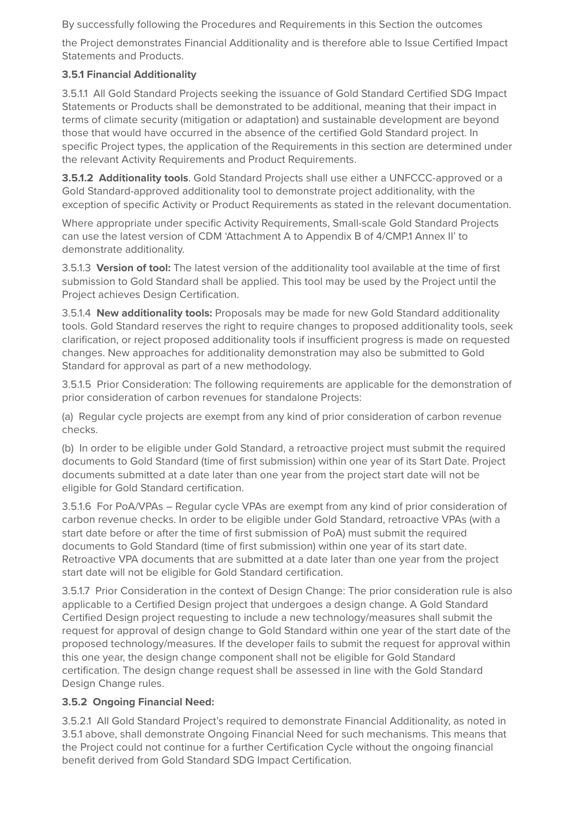By successfully following the Procedures and Requirements in this Section the outcomes

the Project demonstrates Financial Additionality and is therefore able to Issue Certified Impact Statements and Products.

#### **3.5.1 Financial Additionality**

3.5.1.1 All Gold Standard Projects seeking the issuance of Gold Standard Certified SDG Impact Statements or Products shall be demonstrated to be additional, meaning that their impact in terms of climate security (mitigation or adaptation) and sustainable development are beyond those that would have occurred in the absence of the certified Gold Standard project. In specific Project types, the application of the Requirements in this section are determined under the relevant Activity Requirements and Product Requirements.

**3.5.1.2 Additionality tools**. Gold Standard Projects shall use either a UNFCCC-approved or a Gold Standard-approved additionality tool to demonstrate project additionality, with the exception of specific Activity or Product Requirements as stated in the relevant documentation.

Where appropriate under specific Activity Requirements, Small-scale Gold Standard Projects can use the latest version of CDM 'Attachment A to Appendix B of 4/CMP.1 Annex II' to demonstrate additionality.

3.5.1.3 **Version of tool:** The latest version of the additionality tool available at the time of first submission to Gold Standard shall be applied. This tool may be used by the Project until the Project achieves Design Certification.

3.5.1.4 **New additionality tools:** Proposals may be made for new Gold Standard additionality tools. Gold Standard reserves the right to require changes to proposed additionality tools, seek clarification, or reject proposed additionality tools if insufficient progress is made on requested changes. New approaches for additionality demonstration may also be submitted to Gold Standard for approval as part of a new methodology.

3.5.1.5 Prior Consideration: The following requirements are applicable for the demonstration of prior consideration of carbon revenues for standalone Projects:

(a) Regular cycle projects are exempt from any kind of prior consideration of carbon revenue checks.

(b) In order to be eligible under Gold Standard, a retroactive project must submit the required documents to Gold Standard (time of first submission) within one year of its Start Date. Project documents submitted at a date later than one year from the project start date will not be eligible for Gold Standard certification.

3.5.1.6 For PoA/VPAs – Regular cycle VPAs are exempt from any kind of prior consideration of carbon revenue checks. In order to be eligible under Gold Standard, retroactive VPAs (with a start date before or after the time of first submission of PoA) must submit the required documents to Gold Standard (time of first submission) within one year of its start date. Retroactive VPA documents that are submitted at a date later than one year from the project start date will not be eligible for Gold Standard certification.

3.5.1.7 Prior Consideration in the context of Design Change: The prior consideration rule is also applicable to a Certified Design project that undergoes a design change. A Gold Standard Certified Design project requesting to include a new technology/measures shall submit the request for approval of design change to Gold Standard within one year of the start date of the proposed technology/measures. If the developer fails to submit the request for approval within this one year, the design change component shall not be eligible for Gold Standard certification. The design change request shall be assessed in line with the Gold Standard Design Change rules.

#### **3.5.2 Ongoing Financial Need:**

3.5.2.1 All Gold Standard Project's required to demonstrate Financial Additionality, as noted in 3.5.1 above, shall demonstrate Ongoing Financial Need for such mechanisms. This means that the Project could not continue for a further Certification Cycle without the ongoing financial benefit derived from Gold Standard SDG Impact Certification.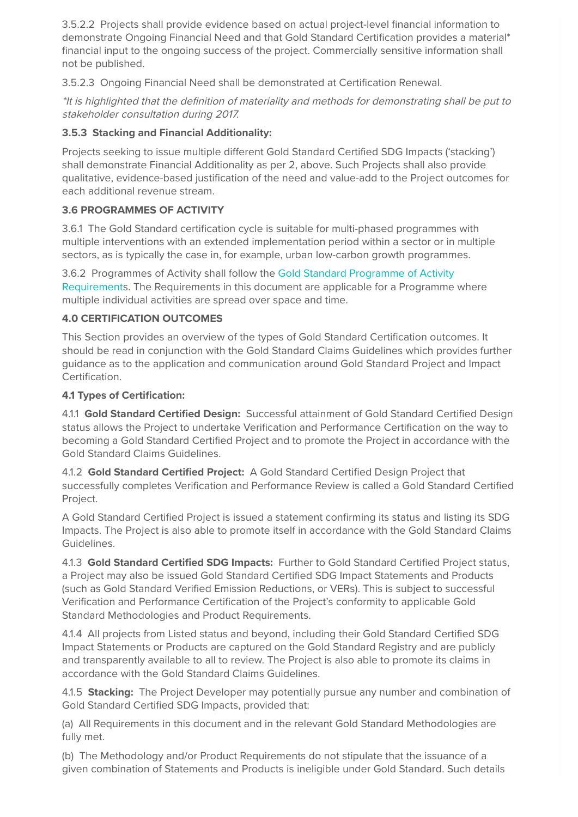3.5.2.2 Projects shall provide evidence based on actual project-level financial information to demonstrate Ongoing Financial Need and that Gold Standard Certification provides a material\* financial input to the ongoing success of the project. Commercially sensitive information shall not be published.

3.5.2.3 Ongoing Financial Need shall be demonstrated at Certification Renewal.

\*It is highlighted that the definition of materiality and methods for demonstrating shall be put to stakeholder consultation during 2017.

#### **3.5.3 Stacking and Financial Additionality:**

Projects seeking to issue multiple different Gold Standard Certified SDG Impacts ('stacking') shall demonstrate Financial Additionality as per 2, above. Such Projects shall also provide qualitative, evidence-based justification of the need and value-add to the Project outcomes for each additional revenue stream.

#### **3.6 PROGRAMMES OF ACTIVITY**

3.6.1 The Gold Standard certification cycle is suitable for multi-phased programmes with multiple interventions with an extended implementation period within a sector or in multiple sectors, as is typically the case in, for example, urban low-carbon growth programmes.

3.6.2 Programmes of Activity shall follow the Gold Standard Programme of Activity Requirements. The Requirements in this document are applicable for a Programme where multiple individual activities are spread over space and time.

#### **4.0 CERTIFICATION OUTCOMES**

This Section provides an overview of the types of Gold Standard Certification outcomes. It should be read in conjunction with the Gold Standard Claims Guidelines which provides further guidance as to the application and communication around Gold Standard Project and Impact Certification.

#### **4.1 Types of Certification:**

4.1.1 **Gold Standard Certified Design:** Successful attainment of Gold Standard Certified Design status allows the Project to undertake Verification and Performance Certification on the way to becoming a Gold Standard Certified Project and to promote the Project in accordance with the Gold Standard Claims Guidelines.

4.1.2 **Gold Standard Certified Project:** A Gold Standard Certified Design Project that successfully completes Verification and Performance Review is called a Gold Standard Certified Project.

A Gold Standard Certified Project is issued a statement confirming its status and listing its SDG Impacts. The Project is also able to promote itself in accordance with the Gold Standard Claims Guidelines.

4.1.3 **Gold Standard Certified SDG Impacts:** Further to Gold Standard Certified Project status, a Project may also be issued Gold Standard Certified SDG Impact Statements and Products (such as Gold Standard Verified Emission Reductions, or VERs). This is subject to successful Verification and Performance Certification of the Project's conformity to applicable Gold Standard Methodologies and Product Requirements.

4.1.4 All projects from Listed status and beyond, including their Gold Standard Certified SDG Impact Statements or Products are captured on the Gold Standard Registry and are publicly and transparently available to all to review. The Project is also able to promote its claims in accordance with the Gold Standard Claims Guidelines.

4.1.5 **Stacking:** The Project Developer may potentially pursue any number and combination of Gold Standard Certified SDG Impacts, provided that:

(a) All Requirements in this document and in the relevant Gold Standard Methodologies are fully met.

(b) The Methodology and/or Product Requirements do not stipulate that the issuance of a given combination of Statements and Products is ineligible under Gold Standard. Such details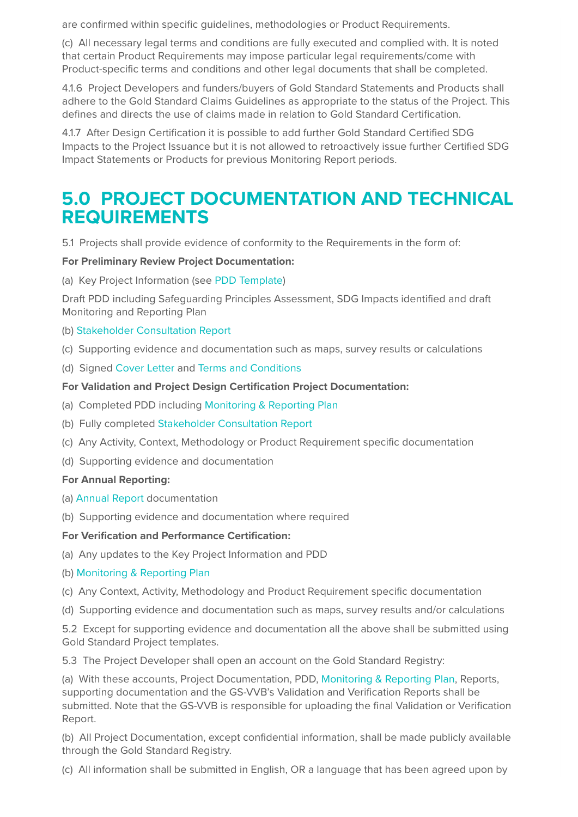are confirmed within specific guidelines, methodologies or Product Requirements.

(c) All necessary legal terms and conditions are fully executed and complied with. It is noted that certain Product Requirements may impose particular legal requirements/come with Product-specific terms and conditions and other legal documents that shall be completed.

4.1.6 Project Developers and funders/buyers of Gold Standard Statements and Products shall adhere to the Gold Standard Claims Guidelines as appropriate to the status of the Project. This defines and directs the use of claims made in relation to Gold Standard Certification.

4.1.7 After Design Certification it is possible to add further Gold Standard Certified SDG Impacts to the Project Issuance but it is not allowed to retroactively issue further Certified SDG Impact Statements or Products for previous Monitoring Report periods.

### **5.0 PROJECT DOCUMENTATION AND TECHNICAL REQUIREMENTS**

5.1 Projects shall provide evidence of conformity to the Requirements in the form of:

#### **For Preliminary Review Project Documentation:**

(a) Key Project Information (see PDD Template)

Draft PDD including Safeguarding Principles Assessment, SDG Impacts identified and draft Monitoring and Reporting Plan

#### (b) Stakeholder Consultation Report

- (c) Supporting evidence and documentation such as maps, survey results or calculations
- (d) Signed Cover Letter and Terms and Conditions

#### **For Validation and Project Design Certification Project Documentation:**

- (a) Completed PDD including Monitoring & Reporting Plan
- (b) Fully completed Stakeholder Consultation Report
- (c) Any Activity, Context, Methodology or Product Requirement specific documentation
- (d) Supporting evidence and documentation

#### **For Annual Reporting:**

- (a) Annual Report documentation
- (b) Supporting evidence and documentation where required

#### **For Verification and Performance Certification:**

- (a) Any updates to the Key Project Information and PDD
- (b) Monitoring & Reporting Plan
- (c) Any Context, Activity, Methodology and Product Requirement specific documentation
- (d) Supporting evidence and documentation such as maps, survey results and/or calculations

5.2 Except for supporting evidence and documentation all the above shall be submitted using Gold Standard Project templates.

5.3 The Project Developer shall open an account on the Gold Standard Registry:

(a) With these accounts, Project Documentation, PDD, Monitoring & Reporting Plan, Reports, supporting documentation and the GS-VVB's Validation and Verification Reports shall be submitted. Note that the GS-VVB is responsible for uploading the final Validation or Verification Report.

(b) All Project Documentation, except confidential information, shall be made publicly available through the Gold Standard Registry.

(c) All information shall be submitted in English, OR a language that has been agreed upon by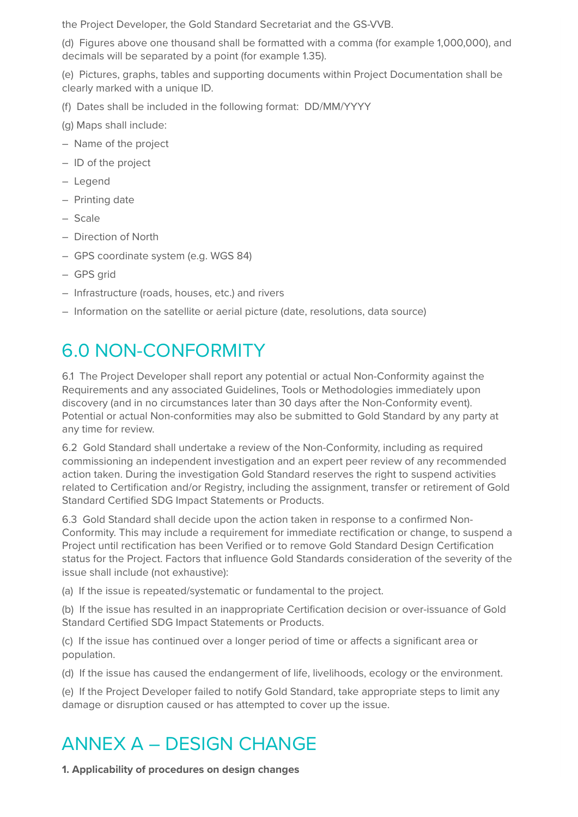the Project Developer, the Gold Standard Secretariat and the GS-VVB.

(d) Figures above one thousand shall be formatted with a comma (for example 1,000,000), and decimals will be separated by a point (for example 1.35).

(e) Pictures, graphs, tables and supporting documents within Project Documentation shall be clearly marked with a unique ID.

- (f) Dates shall be included in the following format: DD/MM/YYYY
- (g) Maps shall include:
- Name of the project
- ID of the project
- Legend
- Printing date
- Scale
- Direction of North
- GPS coordinate system (e.g. WGS 84)
- GPS grid
- Infrastructure (roads, houses, etc.) and rivers
- Information on the satellite or aerial picture (date, resolutions, data source)

## 6.0 NON-CONFORMITY

6.1 The Project Developer shall report any potential or actual Non-Conformity against the Requirements and any associated Guidelines, Tools or Methodologies immediately upon discovery (and in no circumstances later than 30 days after the Non-Conformity event). Potential or actual Non-conformities may also be submitted to Gold Standard by any party at any time for review.

6.2 Gold Standard shall undertake a review of the Non-Conformity, including as required commissioning an independent investigation and an expert peer review of any recommended action taken. During the investigation Gold Standard reserves the right to suspend activities related to Certification and/or Registry, including the assignment, transfer or retirement of Gold Standard Certified SDG Impact Statements or Products.

6.3 Gold Standard shall decide upon the action taken in response to a confirmed Non-Conformity. This may include a requirement for immediate rectification or change, to suspend a Project until rectification has been Verified or to remove Gold Standard Design Certification status for the Project. Factors that influence Gold Standards consideration of the severity of the issue shall include (not exhaustive):

(a) If the issue is repeated/systematic or fundamental to the project.

(b) If the issue has resulted in an inappropriate Certification decision or over-issuance of Gold Standard Certified SDG Impact Statements or Products.

(c) If the issue has continued over a longer period of time or affects a significant area or population.

(d) If the issue has caused the endangerment of life, livelihoods, ecology or the environment.

(e) If the Project Developer failed to notify Gold Standard, take appropriate steps to limit any damage or disruption caused or has attempted to cover up the issue.

# ANNEX A – DESIGN CHANGE

**1. Applicability of procedures on design changes**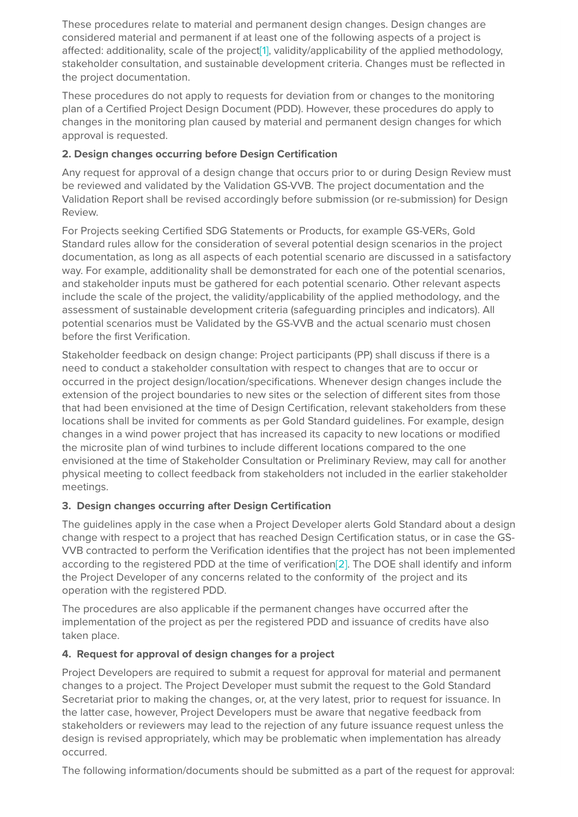These procedures relate to material and permanent design changes. Design changes are considered material and permanent if at least one of the following aspects of a project is affected: additionality, scale of the project[1], validity/applicability of the applied methodology, stakeholder consultation, and sustainable development criteria. Changes must be reflected in the project documentation.

These procedures do not apply to requests for deviation from or changes to the monitoring plan of a Certified Project Design Document (PDD). However, these procedures do apply to changes in the monitoring plan caused by material and permanent design changes for which approval is requested.

#### **2. Design changes occurring before Design Certification**

Any request for approval of a design change that occurs prior to or during Design Review must be reviewed and validated by the Validation GS-VVB. The project documentation and the Validation Report shall be revised accordingly before submission (or re-submission) for Design Review.

For Projects seeking Certified SDG Statements or Products, for example GS-VERs, Gold Standard rules allow for the consideration of several potential design scenarios in the project documentation, as long as all aspects of each potential scenario are discussed in a satisfactory way. For example, additionality shall be demonstrated for each one of the potential scenarios, and stakeholder inputs must be gathered for each potential scenario. Other relevant aspects include the scale of the project, the validity/applicability of the applied methodology, and the assessment of sustainable development criteria (safeguarding principles and indicators). All potential scenarios must be Validated by the GS-VVB and the actual scenario must chosen before the first Verification.

Stakeholder feedback on design change: Project participants (PP) shall discuss if there is a need to conduct a stakeholder consultation with respect to changes that are to occur or occurred in the project design/location/specifications. Whenever design changes include the extension of the project boundaries to new sites or the selection of different sites from those that had been envisioned at the time of Design Certification, relevant stakeholders from these locations shall be invited for comments as per Gold Standard guidelines. For example, design changes in a wind power project that has increased its capacity to new locations or modified the microsite plan of wind turbines to include different locations compared to the one envisioned at the time of Stakeholder Consultation or Preliminary Review, may call for another physical meeting to collect feedback from stakeholders not included in the earlier stakeholder meetings.

#### **3. Design changes occurring after Design Certification**

The guidelines apply in the case when a Project Developer alerts Gold Standard about a design change with respect to a project that has reached Design Certification status, or in case the GS-VVB contracted to perform the Verification identifies that the project has not been implemented according to the registered PDD at the time of verification<sup>[2]</sup>. The DOE shall identify and inform the Project Developer of any concerns related to the conformity of the project and its operation with the registered PDD.

The procedures are also applicable if the permanent changes have occurred after the implementation of the project as per the registered PDD and issuance of credits have also taken place.

#### **4. Request for approval of design changes for a project**

Project Developers are required to submit a request for approval for material and permanent changes to a project. The Project Developer must submit the request to the Gold Standard Secretariat prior to making the changes, or, at the very latest, prior to request for issuance. In the latter case, however, Project Developers must be aware that negative feedback from stakeholders or reviewers may lead to the rejection of any future issuance request unless the design is revised appropriately, which may be problematic when implementation has already occurred.

The following information/documents should be submitted as a part of the request for approval: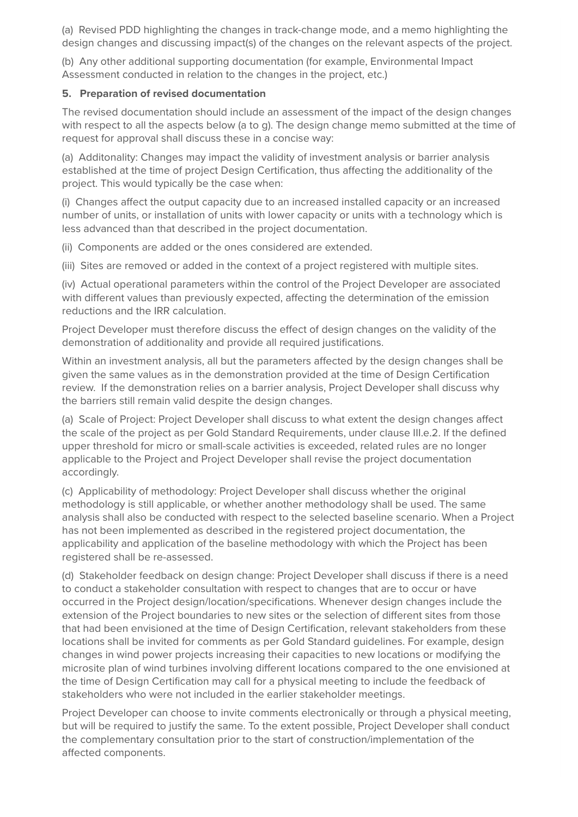(a) Revised PDD highlighting the changes in track-change mode, and a memo highlighting the design changes and discussing impact(s) of the changes on the relevant aspects of the project.

(b) Any other additional supporting documentation (for example, Environmental Impact Assessment conducted in relation to the changes in the project, etc.)

#### **5. Preparation of revised documentation**

The revised documentation should include an assessment of the impact of the design changes with respect to all the aspects below (a to g). The design change memo submitted at the time of request for approval shall discuss these in a concise way:

(a) Additonality: Changes may impact the validity of investment analysis or barrier analysis established at the time of project Design Certification, thus affecting the additionality of the project. This would typically be the case when:

(i) Changes affect the output capacity due to an increased installed capacity or an increased number of units, or installation of units with lower capacity or units with a technology which is less advanced than that described in the project documentation.

(ii) Components are added or the ones considered are extended.

(iii) Sites are removed or added in the context of a project registered with multiple sites.

(iv) Actual operational parameters within the control of the Project Developer are associated with different values than previously expected, affecting the determination of the emission reductions and the IRR calculation.

Project Developer must therefore discuss the effect of design changes on the validity of the demonstration of additionality and provide all required justifications.

Within an investment analysis, all but the parameters affected by the design changes shall be given the same values as in the demonstration provided at the time of Design Certification review. If the demonstration relies on a barrier analysis, Project Developer shall discuss why the barriers still remain valid despite the design changes.

(a) Scale of Project: Project Developer shall discuss to what extent the design changes affect the scale of the project as per Gold Standard Requirements, under clause III.e.2. If the defined upper threshold for micro or small-scale activities is exceeded, related rules are no longer applicable to the Project and Project Developer shall revise the project documentation accordingly.

(c) Applicability of methodology: Project Developer shall discuss whether the original methodology is still applicable, or whether another methodology shall be used. The same analysis shall also be conducted with respect to the selected baseline scenario. When a Project has not been implemented as described in the registered project documentation, the applicability and application of the baseline methodology with which the Project has been registered shall be re-assessed.

(d) Stakeholder feedback on design change: Project Developer shall discuss if there is a need to conduct a stakeholder consultation with respect to changes that are to occur or have occurred in the Project design/location/specifications. Whenever design changes include the extension of the Project boundaries to new sites or the selection of different sites from those that had been envisioned at the time of Design Certification, relevant stakeholders from these locations shall be invited for comments as per Gold Standard guidelines. For example, design changes in wind power projects increasing their capacities to new locations or modifying the microsite plan of wind turbines involving different locations compared to the one envisioned at the time of Design Certification may call for a physical meeting to include the feedback of stakeholders who were not included in the earlier stakeholder meetings.

Project Developer can choose to invite comments electronically or through a physical meeting, but will be required to justify the same. To the extent possible, Project Developer shall conduct the complementary consultation prior to the start of construction/implementation of the affected components.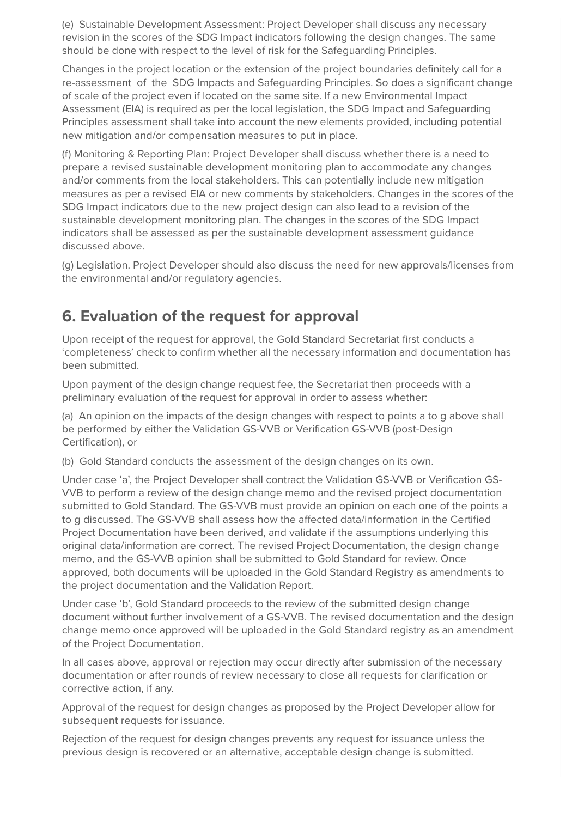(e) Sustainable Development Assessment: Project Developer shall discuss any necessary revision in the scores of the SDG Impact indicators following the design changes. The same should be done with respect to the level of risk for the Safeguarding Principles.

Changes in the project location or the extension of the project boundaries definitely call for a re-assessment of the SDG Impacts and Safeguarding Principles. So does a significant change of scale of the project even if located on the same site. If a new Environmental Impact Assessment (EIA) is required as per the local legislation, the SDG Impact and Safeguarding Principles assessment shall take into account the new elements provided, including potential new mitigation and/or compensation measures to put in place.

(f) Monitoring & Reporting Plan: Project Developer shall discuss whether there is a need to prepare a revised sustainable development monitoring plan to accommodate any changes and/or comments from the local stakeholders. This can potentially include new mitigation measures as per a revised EIA or new comments by stakeholders. Changes in the scores of the SDG Impact indicators due to the new project design can also lead to a revision of the sustainable development monitoring plan. The changes in the scores of the SDG Impact indicators shall be assessed as per the sustainable development assessment guidance discussed above.

(g) Legislation. Project Developer should also discuss the need for new approvals/licenses from the environmental and/or regulatory agencies.

### **6. Evaluation of the request for approval**

Upon receipt of the request for approval, the Gold Standard Secretariat first conducts a 'completeness' check to confirm whether all the necessary information and documentation has been submitted.

Upon payment of the design change request fee, the Secretariat then proceeds with a preliminary evaluation of the request for approval in order to assess whether:

(a) An opinion on the impacts of the design changes with respect to points a to g above shall be performed by either the Validation GS-VVB or Verification GS-VVB (post-Design Certification), or

(b) Gold Standard conducts the assessment of the design changes on its own.

Under case 'a', the Project Developer shall contract the Validation GS-VVB or Verification GS-VVB to perform a review of the design change memo and the revised project documentation submitted to Gold Standard. The GS-VVB must provide an opinion on each one of the points a to g discussed. The GS-VVB shall assess how the affected data/information in the Certified Project Documentation have been derived, and validate if the assumptions underlying this original data/information are correct. The revised Project Documentation, the design change memo, and the GS-VVB opinion shall be submitted to Gold Standard for review. Once approved, both documents will be uploaded in the Gold Standard Registry as amendments to the project documentation and the Validation Report.

Under case 'b', Gold Standard proceeds to the review of the submitted design change document without further involvement of a GS-VVB. The revised documentation and the design change memo once approved will be uploaded in the Gold Standard registry as an amendment of the Project Documentation.

In all cases above, approval or rejection may occur directly after submission of the necessary documentation or after rounds of review necessary to close all requests for clarification or corrective action, if any.

Approval of the request for design changes as proposed by the Project Developer allow for subsequent requests for issuance.

Rejection of the request for design changes prevents any request for issuance unless the previous design is recovered or an alternative, acceptable design change is submitted.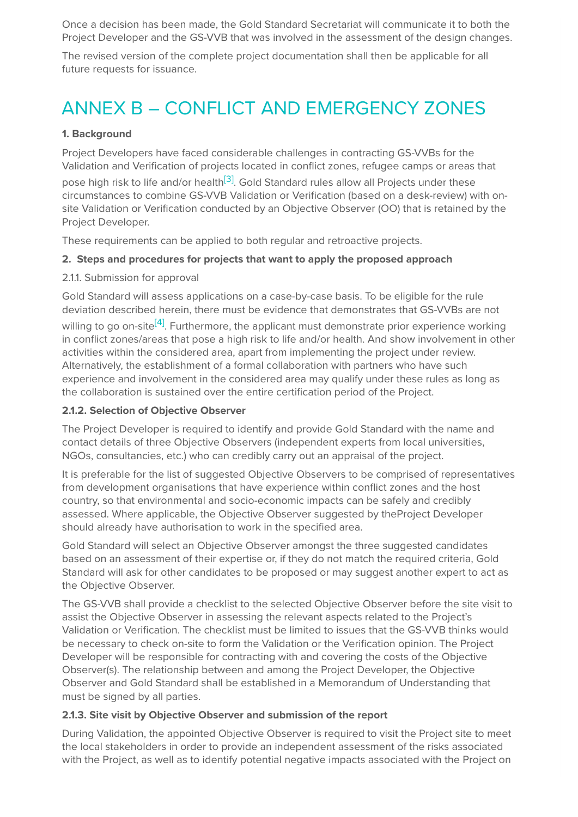Once a decision has been made, the Gold Standard Secretariat will communicate it to both the Project Developer and the GS-VVB that was involved in the assessment of the design changes.

The revised version of the complete project documentation shall then be applicable for all future requests for issuance.

## ANNEX B – CONFLICT AND EMERGENCY ZONES

#### **1. Background**

Project Developers have faced considerable challenges in contracting GS-VVBs for the Validation and Verification of projects located in conflict zones, refugee camps or areas that

pose high risk to life and/or health<sup>[3]</sup>. Gold Standard rules allow all Projects under these circumstances to combine GS-VVB Validation or Verification (based on a desk-review) with onsite Validation or Verification conducted by an Objective Observer (OO) that is retained by the Project Developer.

These requirements can be applied to both regular and retroactive projects.

#### **2. Steps and procedures for projects that want to apply the proposed approach**

#### 2.1.1. Submission for approval

Gold Standard will assess applications on a case-by-case basis. To be eligible for the rule deviation described herein, there must be evidence that demonstrates that GS-VVBs are not willing to go on-site<sup>[4]</sup>. Furthermore, the applicant must demonstrate prior experience working in conflict zones/areas that pose a high risk to life and/or health. And show involvement in other activities within the considered area, apart from implementing the project under review. Alternatively, the establishment of a formal collaboration with partners who have such experience and involvement in the considered area may qualify under these rules as long as the collaboration is sustained over the entire certification period of the Project.

#### **2.1.2. Selection of Objective Observer**

The Project Developer is required to identify and provide Gold Standard with the name and contact details of three Objective Observers (independent experts from local universities, NGOs, consultancies, etc.) who can credibly carry out an appraisal of the project.

It is preferable for the list of suggested Objective Observers to be comprised of representatives from development organisations that have experience within conflict zones and the host country, so that environmental and socio-economic impacts can be safely and credibly assessed. Where applicable, the Objective Observer suggested by theProject Developer should already have authorisation to work in the specified area.

Gold Standard will select an Objective Observer amongst the three suggested candidates based on an assessment of their expertise or, if they do not match the required criteria, Gold Standard will ask for other candidates to be proposed or may suggest another expert to act as the Objective Observer.

The GS-VVB shall provide a checklist to the selected Objective Observer before the site visit to assist the Objective Observer in assessing the relevant aspects related to the Project's Validation or Verification. The checklist must be limited to issues that the GS-VVB thinks would be necessary to check on-site to form the Validation or the Verification opinion. The Project Developer will be responsible for contracting with and covering the costs of the Objective Observer(s). The relationship between and among the Project Developer, the Objective Observer and Gold Standard shall be established in a Memorandum of Understanding that must be signed by all parties.

#### **2.1.3. Site visit by Objective Observer and submission of the report**

During Validation, the appointed Objective Observer is required to visit the Project site to meet the local stakeholders in order to provide an independent assessment of the risks associated with the Project, as well as to identify potential negative impacts associated with the Project on